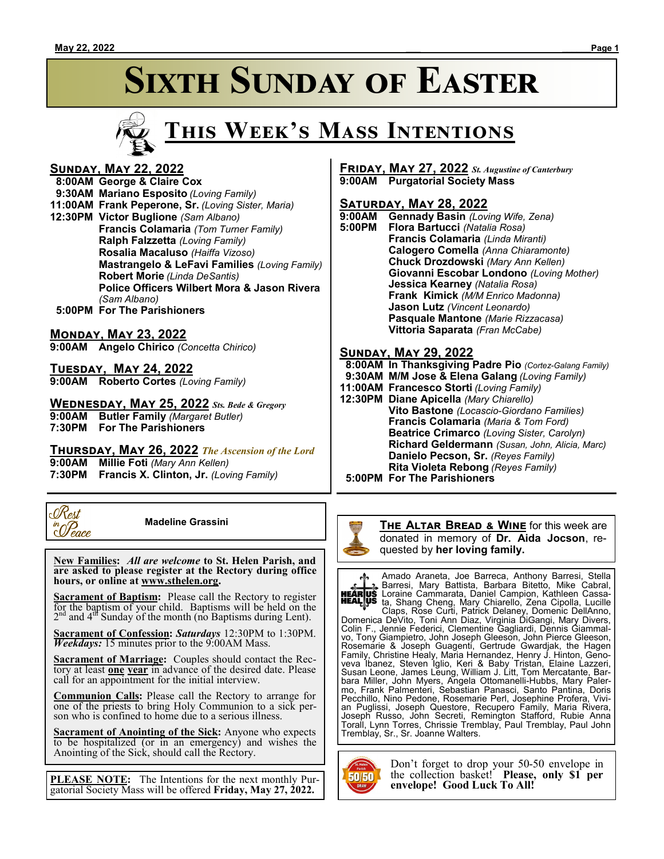# **SIXTH SUNDAY OF EASTER**



#### **Sunday, May 22, 2022**

 **8:00AM George & Claire Cox 9:30AM Mariano Esposito** *(Loving Family)* **11:00AM Frank Peperone, Sr.** *(Loving Sister, Maria)* **12:30PM Victor Buglione** *(Sam Albano)* **Francis Colamaria** *(Tom Turner Family)* **Ralph Falzzetta** *(Loving Family)* **Rosalia Macaluso** *(Haiffa Vizoso)* **Mastrangelo & LeFavi Families** *(Loving Family)* **Robert Morie** *(Linda DeSantis)* **Police Officers Wilbert Mora & Jason Rivera** *(Sam Albano)*

 **5:00PM For The Parishioners**

#### **Monday, May 23, 2022**

**9:00AM Angelo Chirico** *(Concetta Chirico)*

**Tuesday, May 24, 2022**

**9:00AM Roberto Cortes** *(Loving Family)*

#### **Wednesday, May 25, 2022** *Sts. Bede & Gregory*

**9:00AM Butler Family** *(Margaret Butler)*

**7:30PM For The Parishioners**

**Thursday, May 26, 2022** *The Ascension of the Lord*

**9:00AM Millie Foti** *(Mary Ann Kellen)*

**7:30PM Francis X. Clinton, Jr.** *(Loving Family)*



 **Madeline Grassini**

 **New Families:** *All are welcome* **to St. Helen Parish, and are asked to please register at the Rectory during office hours, or online at www.sthelen.org.**

**Sacrament of Baptism:**Please call the Rectory to register for the baptism of your child. Baptisms will be held on the  $2<sup>nd</sup>$  and  $4<sup>df</sup>$  Sunday of the month (no Baptisms during Lent).

**Sacrament of Confession:** *Saturdays* 12:30PM to 1:30PM. *Weekdays:* 15 minutes prior to the 9:00AM Mass.

**Sacrament of Marriage:**Couples should contact the Rectory at least **one year** in advance of the desired date. Please call for an appointment for the initial interview.

**Communion Calls:** Please call the Rectory to arrange for one of the priests to bring Holy Communion to a sick person who is confined to home due to a serious illness.

**Sacrament of Anointing of the Sick:** Anyone who expects to be hospitalized (or in an emergency) and wishes the Anointing of the Sick, should call the Rectory.

**PLEASE NOTE:** The Intentions for the next monthly Purgatorial Society Mass will be offered **Friday, May 27, 2022.**

#### **Friday, May 27, 2022** *St. Augustine of Canterbury* **9:00AM Purgatorial Society Mass**

#### **Saturday, May 28, 2022**

**9:00AM Gennady Basin** *(Loving Wife, Zena)* **5:00PM Flora Bartucci** *(Natalia Rosa)* **Francis Colamaria** *(Linda Miranti)* **Calogero Comella** *(Anna Chiaramonte)* **Chuck Drozdowski** *(Mary Ann Kellen)* **Giovanni Escobar Londono** *(Loving Mother)* **Jessica Kearney** *(Natalia Rosa)* **Frank Kimick** *(M/M Enrico Madonna)* **Jason Lutz** *(Vincent Leonardo)* **Pasquale Mantone** *(Marie Rizzacasa)* **Vittoria Saparata** *(Fran McCabe)*

#### **Sunday, May 29, 2022**

 **8:00AM In Thanksgiving Padre Pio** *(Cortez-Galang Family)*

- **9:30AM M/M Jose & Elena Galang** *(Loving Family)*
- **11:00AM Francesco Storti** *(Loving Family)*
- **12:30PM Diane Apicella** *(Mary Chiarello)* **Vito Bastone** *(Locascio-Giordano Families)* **Francis Colamaria** *(Maria & Tom Ford)* **Beatrice Crimarco** *(Loving Sister, Carolyn)* **Richard Geldermann** *(Susan, John, Alicia, Marc)* **Danielo Pecson, Sr.** *(Reyes Family)* **Rita Violeta Rebong** *(Reyes Family)*
- **5:00PM For The Parishioners**



**The Altar Bread & Wine** for this week are donated in memory of **Dr. Aida Jocson**, requested by **her loving family.**

Amado Araneta, Joe Barreca, Anthony Barresi, Stella Barresi, Mary Battista, Barbara Bitetto, Mike Cabral, Loraine Cammarata, Daniel Campion, Kathleen Cassata, Shang Cheng, Mary Chiarello, Zena Cipolla, Lucille

Claps, Rose Curti, Patrick Delaney, Domenic DellAnno, Domenica DeVito, Toni Ann Diaz, Virginia DiGangi, Mary Divers, Colin F., Jennie Federici, Clementine Gagliardi, Dennis Giammalvo, Tony Giampietro, John Joseph Gleeson, John Pierce Gleeson, Rosemarie & Joseph Guagenti, Gertrude Gwardjak, the Hagen Family, Christine Healy, Maria Hernandez, Henry J. Hinton, Genoveva Ibanez, Steven Iglio, Keri & Baby Tristan, Elaine Lazzeri, Susan Leone, James Leung, William J. Litt, Tom Mercatante, Barbara Miller, John Myers, Angela Ottomanelli-Hubbs, Mary Palermo, Frank Palmenteri, Sebastian Panasci, Santo Pantina, Doris Pecchillo, Nino Pedone, Rosemarie Perl, Josephine Profera, Vivian Puglissi, Joseph Questore, Recupero Family, Maria Rivera, Joseph Russo, John Secreti, Remington Stafford, Rubie Anna Torall, Lynn Torres, Chrissie Tremblay, Paul Tremblay, Paul John Tremblay, Sr., Sr. Joanne Walters.



Don't forget to drop your 50-50 envelope in the collection basket! **Please, only \$1 per envelope! Good Luck To All!**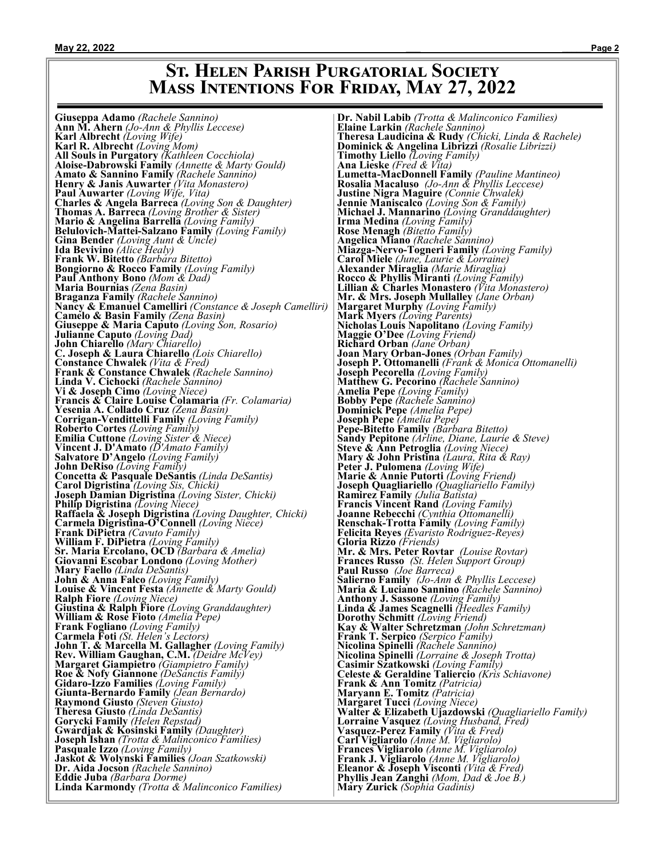# **St. Helen Parish Purgatorial Society Mass Intentions For Friday, May 27, 2022**

**Giuseppa Adamo** *(Rachele Sannino)* **Ann M. Ahern** *(Jo-Ann & Phyllis Leccese)* **Giuseppa Adamo** (Rachele Sannino)<br>**Ann M. Ahern** (Jo-Ann & Phyllis Leccese<br>**Karl Albrecht** (Loving Wife) **Karl R. Albrecht** *(Loving Mom)* **All Souls in Purgatory** *(Kathleen Cocchiola)* **Aloise-Dabrowski Family** *(Annette & Marty Gould)* **Amato & Sannino Family** *(Rachele Sannino)* **Henry & Janis Auwarter** *(Vita Monastero)* **Paul Auwarter** *(Loving Wife, Vita)* **Charles & Angela Barreca** *(Loving Son & Daughter)* **Thomas A. Barreca** *(Loving Brother & Sister)* **Mario & Angelina Barrella** *(Loving Family)* **Belulovich-Mattei-Salzano Family** *(Loving Family)* **Gina Bender** *(Loving Aunt & Uncle)* **Ida Bevivino** *(Alice Healy)* **Frank W. Bitetto** *(Barbara Bitetto)* **Bongiorno & Rocco Family** *(Loving Family)* **Paul Anthony Bono** *(Mom & Dad)* **Maria Bournias** *(Zena Basin)* **Braganza Family** *(Rachele Sannino)* **Nancy & Emanuel Camelliri** *(Constance & Joseph Camelliri)* **Camelo & Basin Family** *(Zena Basin)* **Giuseppe & Maria Caputo** *(Loving Son, Rosario)* **Julianne Caputo** *(Loving Dad)* **John Chiarello** *(Mary Chiarello)* **C. Joseph & Laura Chiarello** *(Lois Chiarello)* **Constance Chwalek** *(Vita & Fred)* **Frank & Constance Chwalek** *(Rachele Sannino)* **Linda V. Cichocki** *(Rachele Sannino)* **Vi & Joseph Cimo** *(Loving Niece)* **Francis & Claire Louise Colamaria** *(Fr. Colamaria)* **Yesenia A. Collado Cruz** *(Zena Basin)* **Corrigan-Vendittelli Family** *(Loving Family)* **Roberto Cortes** *(Loving Family)* **Emilia Cuttone** *(Loving Sister & Niece)* **Vincent J. D'Amato** *(D'Amato Family)* **Salvatore D'Angelo** *(Loving Family)* **John DeRiso** *(Loving Family)* **Concetta & Pasquale DeSantis** *(Linda DeSantis)* **Carol Digristina** *(Loving Sis, Chicki)* **Joseph Damian Digristina** *(Loving Sister, Chicki)* **Philip Digristina** *(Loving Niece)* **Raffaela & Joseph Digristina** *(Loving Daughter, Chicki)* **Carmela Digristina-O'Connell** *(Loving Niece)* **Frank DiPietra** *(Cavuto Family)* **William F. DiPietra** *(Loving Family)* **Sr. Maria Ercolano, OCD** *(Barbara & Amelia)* **Giovanni Escobar Londono** *(Loving Mother)* **Mary Faello** *(Linda DeSantis)* **John & Anna Falco** *(Loving Family)* **Louise & Vincent Festa** *(Annette & Marty Gould)* **Ralph Fiore** *(Loving Niece)* **Giustina & Ralph Fiore** *(Loving Granddaughter)* **William & Rose Fioto** *(Amelia Pepe)* **Frank Fogliano** *(Loving Family)* **Carmela Foti** *(St. Helen's Lectors)* **John T. & Marcella M. Gallagher** *(Loving Family)* **Rev. William Gaughan, C.M.** *(Deidre McVey)* **Margaret Giampietro** *(Giampietro Family)* **Roe & Nofy Giannone** *(DeSanctis Family)* **Gidaro-Izzo Families** *(Loving Family)* **Giunta-Bernardo Family** *(Jean Bernardo)* **Raymond Giusto** *(Steven Giusto)* **Theresa Giusto** *(Linda DeSantis)* **Gorycki Family** *(Helen Repstad)* **Gwardjak & Kosinski Family** *(Daughter)* **Joseph Ishan** *(Trotta & Malinconico Families)* **Pasquale Izzo** *(Loving Family)* **Jaskot & Wolynski Families** *(Joan Szatkowski)* **Dr. Aida Jocson** *(Rachele Sannino)* **Eddie Juba** *(Barbara Dorme)* **Linda Karmondy** *(Trotta & Malinconico Families)*

**Dr. Nabil Labib** *(Trotta & Malinconico Families)* **Elaine Larkin** *(Rachele Sannino)* **Theresa Laudicina & Rudy** *(Chicki, Linda & Rachele)* **Dominick & Angelina Librizzi** *(Rosalie Librizzi)* **Timothy Liello** *(Loving Family)* **Ana Lieske** *(Fred & Vita)* **Lumetta-MacDonnell Family** *(Pauline Mantineo)* **Rosalia Macaluso** *(Jo-Ann & Phyllis Leccese)* **Justine Nigra Maguire** *(Connie Chwalek)* **Jennie Maniscalco** *(Loving Son & Family)* **Michael J. Mannarino** *(Loving Granddaughter)* **Irma Medina** *(Loving Family)* **Rose Menagh** *(Bitetto Family)* **Angelica Miano** *(Rachele Sannino)* **Miazga-Nervo-Togneri Family** *(Loving Family)* **Carol Miele** *(June, Laurie & Lorraine)* **Alexander Miraglia** *(Marie Miraglia)* **Rocco & Phyllis Miranti** *(Loving Family)* **Lillian & Charles Monastero** *(Vita Monastero)* **Mr. & Mrs. Joseph Mullalley** *(Jane Orban)* **Margaret Murphy** *(Loving Family)* **Mark Myers** *(Loving Parents)* **Nicholas Louis Napolitano** *(Loving Family)* **Maggie O'Dee** *(Loving Friend)* **Richard Orban** *(Jane Orban)* **Joan Mary Orban-Jones** *(Orban Family)* **Joseph P. Ottomanelli** *(Frank & Monica Ottomanelli)* **Joseph Pecorella** *(Loving Family)* **Matthew G. Pecorino** *(Rachele Sannino)* **Amelia Pepe** *(Loving Family)* **Bobby Pepe** *(Rachele Sannino)* **Dominick Pepe** *(Amelia Pepe)* **Joseph Pepe** *(Amelia Pepe)* **Pepe-Bitetto Family** *(Barbara Bitetto)* **Sandy Pepitone** *(Arline, Diane, Laurie & Steve)* **Steve & Ann Petroglia** *(Loving Niece)* **Mary & John Pristina** *(Laura, Rita & Ray)* **Peter J. Pulomena** *(Loving Wife)* **Marie & Annie Putorti** *(Loving Friend)* **Joseph Quagliariello** *(Quagliariello Family)* **Ramirez Family** *(Julia Batista)* **Francis Vincent Rand** *(Loving Family)* **Joanne Rebecchi** *(Cynthia Ottomanelli)* **Renschak-Trotta Family** *(Loving Family)* **Felicita Reyes** *(Evaristo Rodriguez-Reyes)* **Gloria Rizzo** *(Friends)* **Mr. & Mrs. Peter Rovtar** *(Louise Rovtar)* **Frances Russo** *(St. Helen Support Group)* **Paul Russo** *(Joe Barreca)* **Salierno Family** *(Jo-Ann & Phyllis Leccese)* **Maria & Luciano Sannino** *(Rachele Sannino)* **Anthony J. Sassone** *(Loving Family)* **Linda & James Scagnelli** *(Heedles Family)* **Dorothy Schmitt** *(Loving Friend)* **Kay & Walter Schretzman** *(John Schretzman)* **Frank T. Serpico** *(Serpico Family)* **Nicolina Spinelli** *(Rachele Sannino)* **Nicolina Spinelli** *(Lorraine & Joseph Trotta)* **Casimir Szatkowski** *(Loving Family)* **Celeste & Geraldine Taliercio** *(Kris Schiavone)* **Frank & Ann Tomitz** *(Patricia)* **Maryann E. Tomitz** *(Patricia)* **Margaret Tucci** *(Loving Niece)* **Walter & Elizabeth Ujazdowski** *(Quagliariello Family)* **Lorraine Vasquez** *(Loving Husband, Fred)* **Vasquez-Perez Family** *(Vita & Fred)* **Carl Vigliarolo** *(Anne M. Vigliarolo)* **Frances Vigliarolo** *(Anne M. Vigliarolo)* **Frank J. Vigliarolo Eleanor & Joseph Visconti** *(Vita & Fred)* **Phyllis Jean Zanghi** *(Mom, Dad & Joe B.)* **Mary Zurick** *(Sophia Gadinis)*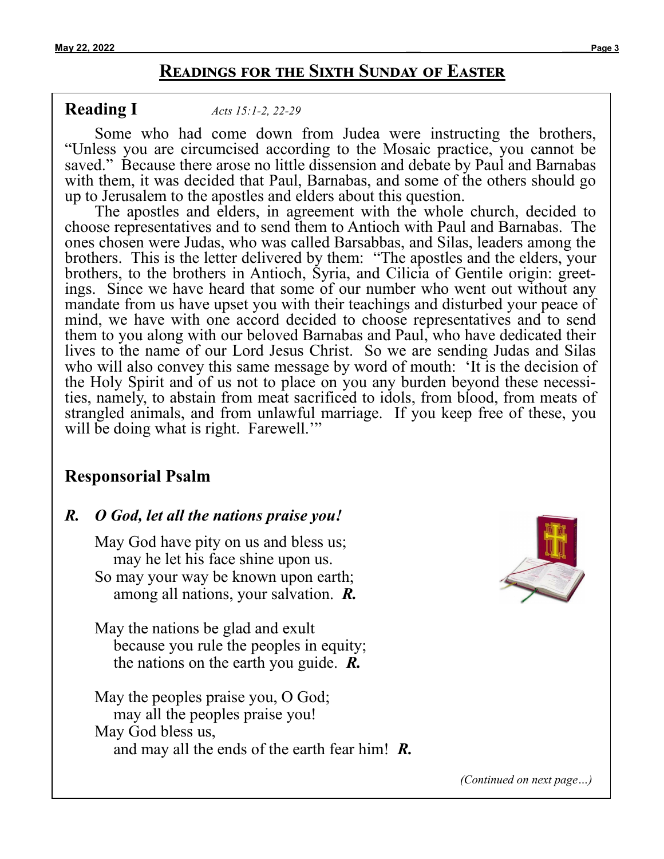# **Readings for the Sixth Sunday of Easter**

**Reading I** *[Acts 15:1](https://bible.usccb.org/bible/acts/15?1)-2, 22-<sup>29</sup>*

Some who had come down from Judea were instructing the brothers, "Unless you are circumcised according to the Mosaic practice, you cannot be saved." Because there arose no little dissension and debate by Paul and Barnabas with them, it was decided that Paul, Barnabas, and some of the others should go up to Jerusalem to the apostles and elders about this question.

The apostles and elders, in agreement with the whole church, decided to choose representatives and to send them to Antioch with Paul and Barnabas. The ones chosen were Judas, who was called Barsabbas, and Silas, leaders among the brothers. This is the letter delivered by them: "The apostles and the elders, your brothers, to the brothers in Antioch, Syria, and Cilicia of Gentile origin: greetings. Since we have heard that some of our number who went out without any mandate from us have upset you with their teachings and disturbed your peace of mind, we have with one accord decided to choose representatives and to send them to you along with our beloved Barnabas and Paul, who have dedicated their lives to the name of our Lord Jesus Christ. So we are sending Judas and Silas who will also convey this same message by word of mouth: 'It is the decision of the Holy Spirit and of us not to place on you any burden beyond these necessities, namely, to abstain from meat sacrificed to idols, from blood, from meats of strangled animals, and from unlawful marriage. If you keep free of these, you will be doing what is right. Farewell.'"

# **Responsorial Psalm**

## *R. O God, let all the nations praise you!*

May God have pity on us and bless us; may he let his face shine upon us. So may your way be known upon earth; among all nations, your salvation. *R.*

May the nations be glad and exult because you rule the peoples in equity; the nations on the earth you guide. *R.*

May the peoples praise you, O God; may all the peoples praise you! May God bless us, and may all the ends of the earth fear him! *R.*



*(Continued on next page…)*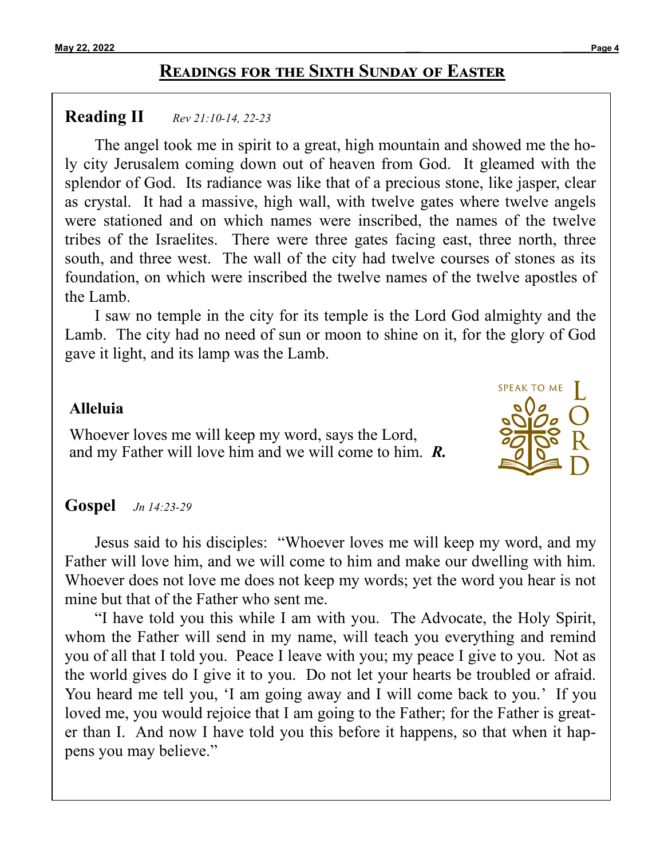# **Readings for the Sixth Sunday of Easter**

## **Reading II** *[Rev 21:10](https://bible.usccb.org/bible/revelation/21?10)-14, 22-<sup>23</sup>*

The angel took me in spirit to a great, high mountain and showed me the holy city Jerusalem coming down out of heaven from God. It gleamed with the splendor of God. Its radiance was like that of a precious stone, like jasper, clear as crystal. It had a massive, high wall, with twelve gates where twelve angels were stationed and on which names were inscribed, the names of the twelve tribes of the Israelites. There were three gates facing east, three north, three south, and three west. The wall of the city had twelve courses of stones as its foundation, on which were inscribed the twelve names of the twelve apostles of the Lamb.

I saw no temple in the city for its temple is the Lord God almighty and the Lamb. The city had no need of sun or moon to shine on it, for the glory of God gave it light, and its lamp was the Lamb.

## **Alleluia**

Whoever loves me will keep my word, says the Lord, and my Father will love him and we will come to him. *R.*

# **Gospel** *[Jn 14:23](https://bible.usccb.org/bible/john/14?23)-<sup>29</sup>*

Jesus said to his disciples: "Whoever loves me will keep my word, and my Father will love him, and we will come to him and make our dwelling with him. Whoever does not love me does not keep my words; yet the word you hear is not mine but that of the Father who sent me.

"I have told you this while I am with you. The Advocate, the Holy Spirit, whom the Father will send in my name, will teach you everything and remind you of all that I told you. Peace I leave with you; my peace I give to you. Not as the world gives do I give it to you. Do not let your hearts be troubled or afraid. You heard me tell you, 'I am going away and I will come back to you.' If you loved me, you would rejoice that I am going to the Father; for the Father is greater than I. And now I have told you this before it happens, so that when it happens you may believe."